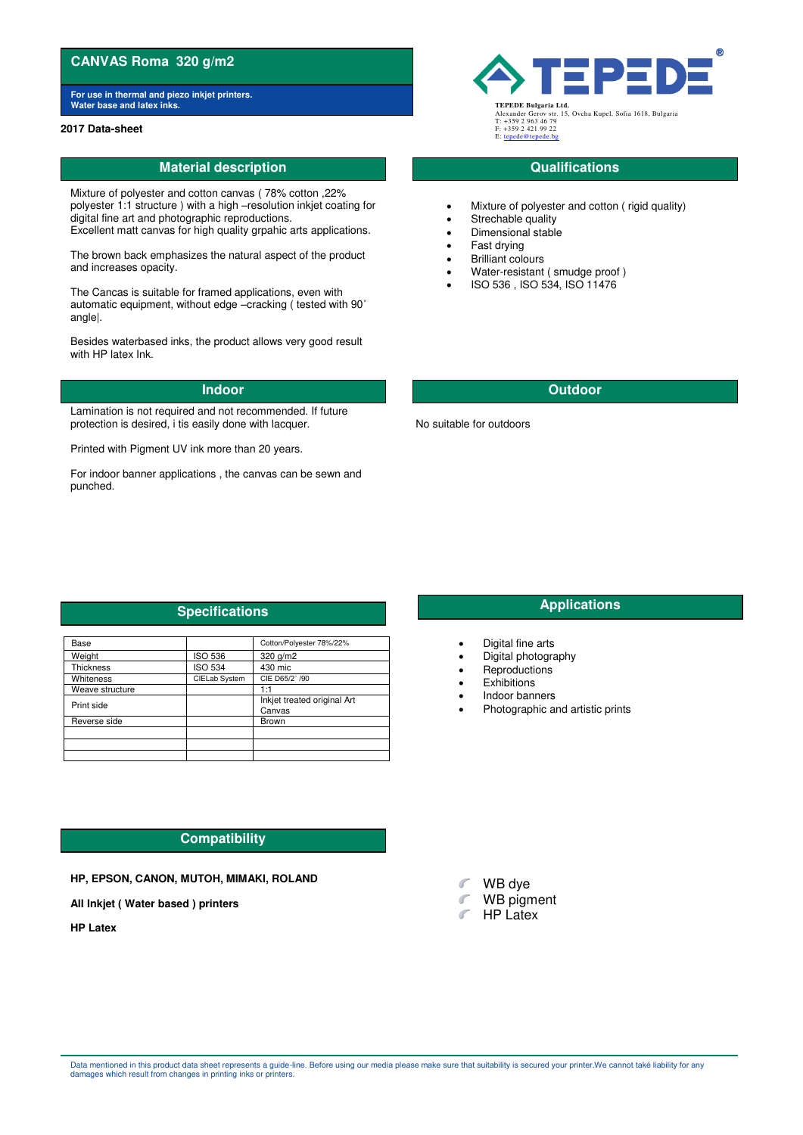# **CANVAS Roma 320 g/m2**

**For use in thermal and piezo inkjet printers. Water base and latex inks** 

### **2017 Data-sheet**

# **Material description CONSIDERING CONSIDERING CONSIDERING CONSIDERING CONSIDERING CONSIDERING CONSIDERING CONSIDERING CONSIDERING CONSIDERING CONSIDERING CONSIDERING CONSIDERING CONSIDERING CONSIDERING CONSIDERING CONSID**

Mixture of polyester and cotton canvas ( 78% cotton ,22% polyester 1:1 structure ) with a high –resolution inkjet coating for digital fine art and photographic reproductions. Excellent matt canvas for high quality grpahic arts applications.

The brown back emphasizes the natural aspect of the product and increases opacity.

The Cancas is suitable for framed applications, even with automatic equipment, without edge –cracking ( tested with 90˚ angle|.

Besides waterbased inks, the product allows very good result with HP latex Ink.

Lamination is not required and not recommended. If future protection is desired, i tis easily done with lacquer.

Printed with Pigment UV ink more than 20 years.

For indoor banner applications , the canvas can be sewn and punched.



Alexander Gerov str. 15, Ovcha Kupel, Sofia 1618, Bulgaria T: +359 2 963 46 79 F: +359 2 421 99 22 E: ter

- Mixture of polyester and cotton ( rigid quality)
- Strechable quality
- Dimensional stable
- Fast drying
- Brilliant colours
- Water-resistant ( smudge proof )
- ISO 536 , ISO 534, ISO 11476

# **Indoor Outdoor**

No suitable for outdoors

# **Specifications Applications Applications**

| Base             |                | Cotton/Polyester 78%/22%              |
|------------------|----------------|---------------------------------------|
| Weight           | <b>ISO 536</b> | 320 g/m2                              |
| <b>Thickness</b> | <b>ISO 534</b> | 430 mic                               |
| Whiteness        | CIELab System  | CIE D65/2° /90                        |
| Weave structure  |                | 1·1                                   |
| Print side       |                | Inkiet treated original Art<br>Canvas |
| Reverse side     |                | <b>Brown</b>                          |
|                  |                |                                       |
|                  |                |                                       |
|                  |                |                                       |

# **Compatibility**

## **HP, EPSON, CANON, MUTOH, MIMAKI, ROLAND**

**All Inkjet ( Water based ) printers** 

**HP Latex** 

- Digital fine arts
- Digital photography
- Reproductions
- **Exhibitions**
- Indoor banners
- Photographic and artistic prints

- WB dye ď
- **WB** pigment
- **F** HP Latex